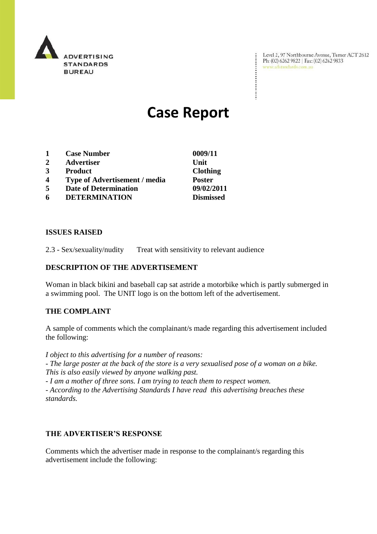

Level 2, 97 Northbourne Avenue, Turner ACT 2612<br>Ph: (02) 6262 9822 | Fax: (02) 6262 9833<br>www.adstandards.com.au

÷

# **Case Report**

- **1 Case Number 0009/11**
- **2 Advertiser Unit**
- **3 Product Clothing**
- **4 Type of Advertisement / media Poster**
- **5 Date of Determination 09/02/2011**
- **6 DETERMINATION Dismissed**

**ISSUES RAISED**

2.3 - Sex/sexuality/nudity Treat with sensitivity to relevant audience

## **DESCRIPTION OF THE ADVERTISEMENT**

Woman in black bikini and baseball cap sat astride a motorbike which is partly submerged in a swimming pool. The UNIT logo is on the bottom left of the advertisement.

### **THE COMPLAINT**

A sample of comments which the complainant/s made regarding this advertisement included the following:

*I object to this advertising for a number of reasons: - The large poster at the back of the store is a very sexualised pose of a woman on a bike. This is also easily viewed by anyone walking past.*

*- I am a mother of three sons. I am trying to teach them to respect women. - According to the Advertising Standards I have read this advertising breaches these standards.*

### **THE ADVERTISER'S RESPONSE**

Comments which the advertiser made in response to the complainant/s regarding this advertisement include the following: